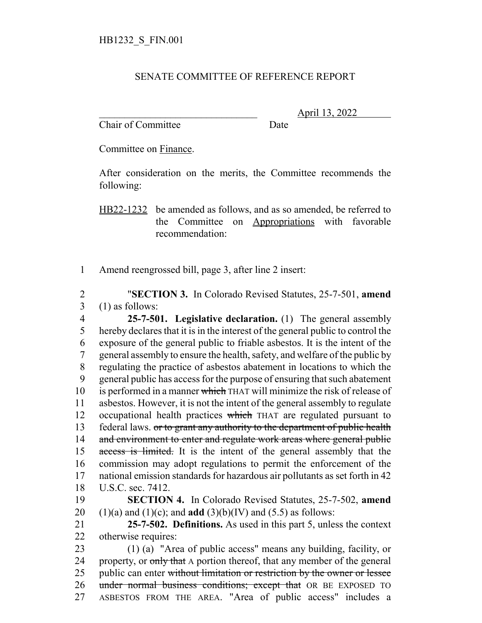## SENATE COMMITTEE OF REFERENCE REPORT

Chair of Committee Date

\_\_\_\_\_\_\_\_\_\_\_\_\_\_\_\_\_\_\_\_\_\_\_\_\_\_\_\_\_\_\_ April 13, 2022

Committee on Finance.

After consideration on the merits, the Committee recommends the following:

HB22-1232 be amended as follows, and as so amended, be referred to the Committee on Appropriations with favorable recommendation:

1 Amend reengrossed bill, page 3, after line 2 insert:

2 "**SECTION 3.** In Colorado Revised Statutes, 25-7-501, **amend** 3 (1) as follows:

 **25-7-501. Legislative declaration.** (1) The general assembly hereby declares that it is in the interest of the general public to control the exposure of the general public to friable asbestos. It is the intent of the general assembly to ensure the health, safety, and welfare of the public by regulating the practice of asbestos abatement in locations to which the general public has access for the purpose of ensuring that such abatement 10 is performed in a manner which THAT will minimize the risk of release of asbestos. However, it is not the intent of the general assembly to regulate 12 occupational health practices which THAT are regulated pursuant to 13 federal laws. or to grant any authority to the department of public health 14 and environment to enter and regulate work areas where general public 15 access is limited. It is the intent of the general assembly that the commission may adopt regulations to permit the enforcement of the national emission standards for hazardous air pollutants as set forth in 42 U.S.C. sec. 7412.

19 **SECTION 4.** In Colorado Revised Statutes, 25-7-502, **amend** 20 (1)(a) and (1)(c); and **add** (3)(b)(IV) and (5.5) as follows:

21 **25-7-502. Definitions.** As used in this part 5, unless the context 22 otherwise requires:

23 (1) (a) "Area of public access" means any building, facility, or 24 property, or only that A portion thereof, that any member of the general 25 public can enter without limitation or restriction by the owner or lessee 26 under normal business conditions; except that OR BE EXPOSED TO 27 ASBESTOS FROM THE AREA. "Area of public access" includes a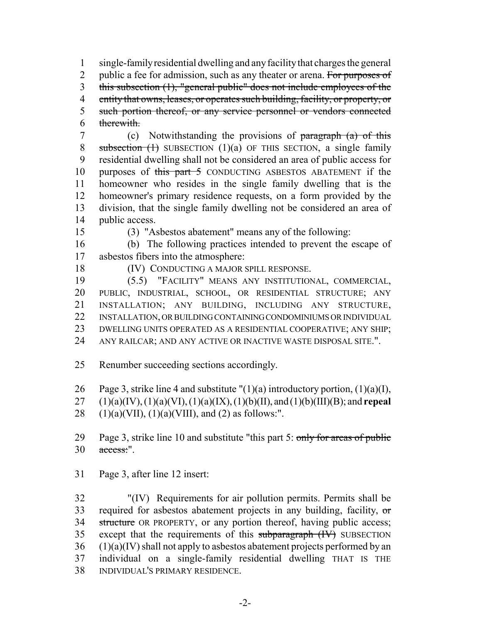single-family residential dwelling and any facility that charges the general 2 public a fee for admission, such as any theater or arena. For purposes of this subsection (1), "general public" does not include employees of the entity that owns, leases, or operates such building, facility, or property, or 5 such portion thereof, or any service personnel or vendors connected therewith.

7 (c) Notwithstanding the provisions of paragraph (a) of this 8 subsection  $(1)$  SUBSECTION  $(1)(a)$  OF THIS SECTION, a single family residential dwelling shall not be considered an area of public access for 10 purposes of this part 5 CONDUCTING ASBESTOS ABATEMENT if the homeowner who resides in the single family dwelling that is the homeowner's primary residence requests, on a form provided by the division, that the single family dwelling not be considered an area of public access.

(3) "Asbestos abatement" means any of the following:

 (b) The following practices intended to prevent the escape of asbestos fibers into the atmosphere:

(IV) CONDUCTING A MAJOR SPILL RESPONSE.

 (5.5) "FACILITY" MEANS ANY INSTITUTIONAL, COMMERCIAL, PUBLIC, INDUSTRIAL, SCHOOL, OR RESIDENTIAL STRUCTURE; ANY INSTALLATION; ANY BUILDING, INCLUDING ANY STRUCTURE, INSTALLATION, OR BUILDING CONTAINING CONDOMINIUMS OR INDIVIDUAL DWELLING UNITS OPERATED AS A RESIDENTIAL COOPERATIVE; ANY SHIP; ANY RAILCAR; AND ANY ACTIVE OR INACTIVE WASTE DISPOSAL SITE.".

Renumber succeeding sections accordingly.

26 Page 3, strike line 4 and substitute  $''(1)(a)$  introductory portion,  $(1)(a)(I)$ ,

(1)(a)(IV), (1)(a)(VI), (1)(a)(IX), (1)(b)(II), and (1)(b)(III)(B); and **repeal**

28 (1)(a)(VII), (1)(a)(VIII), and (2) as follows:".

29 Page 3, strike line 10 and substitute "this part 5: only for areas of public access:".

Page 3, after line 12 insert:

 "(IV) Requirements for air pollution permits. Permits shall be 33 required for asbestos abatement projects in any building, facility,  $\sigma$ 34 structure OR PROPERTY, or any portion thereof, having public access; 35 except that the requirements of this subparagraph (IV) SUBSECTION (1)(a)(IV) shall not apply to asbestos abatement projects performed by an individual on a single-family residential dwelling THAT IS THE INDIVIDUAL'S PRIMARY RESIDENCE.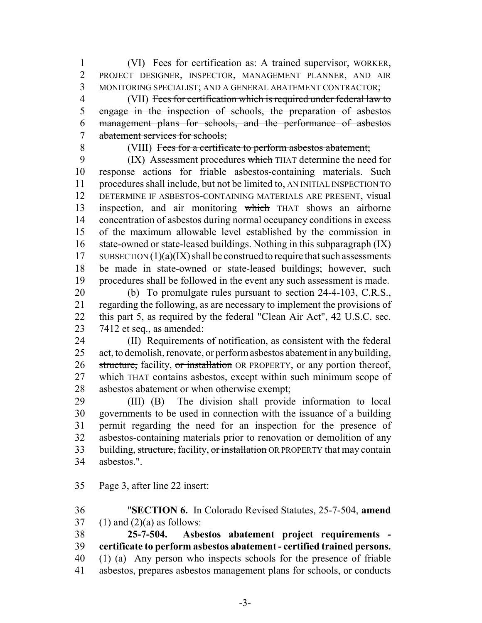(VI) Fees for certification as: A trained supervisor, WORKER, PROJECT DESIGNER, INSPECTOR, MANAGEMENT PLANNER, AND AIR MONITORING SPECIALIST; AND A GENERAL ABATEMENT CONTRACTOR;

 (VII) Fees for certification which is required under federal law to 5 engage in the inspection of schools, the preparation of asbestos management plans for schools, and the performance of asbestos abatement services for schools;

## 8 (VIII) Fees for a certificate to perform asbestos abatement;

9 (IX) Assessment procedures which THAT determine the need for response actions for friable asbestos-containing materials. Such procedures shall include, but not be limited to, AN INITIAL INSPECTION TO DETERMINE IF ASBESTOS-CONTAINING MATERIALS ARE PRESENT, visual inspection, and air monitoring which THAT shows an airborne concentration of asbestos during normal occupancy conditions in excess of the maximum allowable level established by the commission in 16 state-owned or state-leased buildings. Nothing in this subparagraph  $(HX)$ 17 SUBSECTION  $(1)(a)(IX)$  shall be construed to require that such assessments be made in state-owned or state-leased buildings; however, such procedures shall be followed in the event any such assessment is made.

 (b) To promulgate rules pursuant to section 24-4-103, C.R.S., regarding the following, as are necessary to implement the provisions of this part 5, as required by the federal "Clean Air Act", 42 U.S.C. sec. 7412 et seq., as amended:

 (II) Requirements of notification, as consistent with the federal act, to demolish, renovate, or perform asbestos abatement in any building, 26 structure, facility, or installation OR PROPERTY, or any portion thereof, 27 which THAT contains asbestos, except within such minimum scope of asbestos abatement or when otherwise exempt;

 (III) (B) The division shall provide information to local governments to be used in connection with the issuance of a building permit regarding the need for an inspection for the presence of asbestos-containing materials prior to renovation or demolition of any 33 building, structure, facility, or installation OR PROPERTY that may contain asbestos.".

Page 3, after line 22 insert:

 "**SECTION 6.** In Colorado Revised Statutes, 25-7-504, **amend** 37 (1) and  $(2)(a)$  as follows:

 **25-7-504. Asbestos abatement project requirements - certificate to perform asbestos abatement - certified trained persons.** 40 (1) (a) Any person who inspects schools for the presence of friable

asbestos, prepares asbestos management plans for schools, or conducts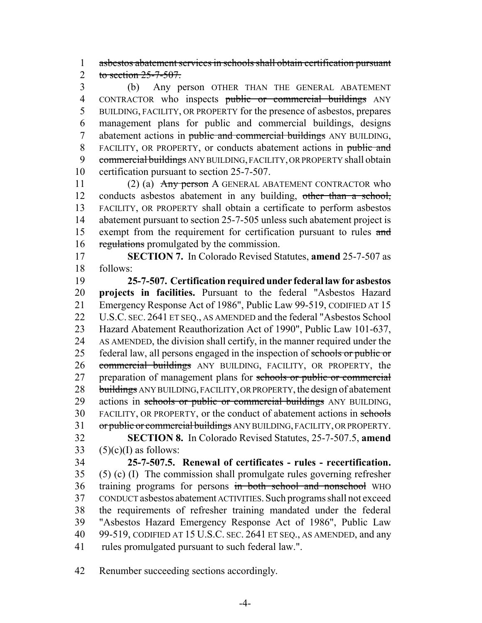1 asbestos abatement services in schools shall obtain certification pursuant 2 to section  $25 - 7 - 507$ .

3 (b) Any person OTHER THAN THE GENERAL ABATEMENT 4 CONTRACTOR who inspects public or commercial buildings ANY 5 BUILDING, FACILITY, OR PROPERTY for the presence of asbestos, prepares 6 management plans for public and commercial buildings, designs 7 abatement actions in public and commercial buildings ANY BUILDING, 8 FACILITY, OR PROPERTY, or conducts abatement actions in public and 9 commercial buildings ANY BUILDING, FACILITY, OR PROPERTY shall obtain 10 certification pursuant to section 25-7-507.

11 (2) (a) Any person A GENERAL ABATEMENT CONTRACTOR who 12 conducts asbestos abatement in any building, other than a school, 13 FACILITY, OR PROPERTY shall obtain a certificate to perform asbestos 14 abatement pursuant to section 25-7-505 unless such abatement project is 15 exempt from the requirement for certification pursuant to rules and 16 regulations promulgated by the commission.

17 **SECTION 7.** In Colorado Revised Statutes, **amend** 25-7-507 as 18 follows:

19 **25-7-507. Certification required under federal law for asbestos** 20 **projects in facilities.** Pursuant to the federal "Asbestos Hazard 21 Emergency Response Act of 1986", Public Law 99-519, CODIFIED AT 15 22 U.S.C. SEC. 2641 ET SEQ., AS AMENDED and the federal "Asbestos School" 23 Hazard Abatement Reauthorization Act of 1990", Public Law 101-637, 24 AS AMENDED, the division shall certify, in the manner required under the 25 federal law, all persons engaged in the inspection of schools or public or 26 commercial buildings ANY BUILDING, FACILITY, OR PROPERTY, the 27 preparation of management plans for schools or public or commercial 28 buildings ANY BUILDING, FACILITY, OR PROPERTY, the design of abatement 29 actions in schools or public or commercial buildings ANY BUILDING, 30 FACILITY, OR PROPERTY, or the conduct of abatement actions in schools 31 or public or commercial buildings ANY BUILDING, FACILITY, OR PROPERTY. 32 **SECTION 8.** In Colorado Revised Statutes, 25-7-507.5, **amend**

33  $(5)(c)(I)$  as follows:

 **25-7-507.5. Renewal of certificates - rules - recertification.** (5) (c) (I) The commission shall promulgate rules governing refresher 36 training programs for persons in both school and nonschool WHO CONDUCT asbestos abatement ACTIVITIES. Such programs shall not exceed the requirements of refresher training mandated under the federal "Asbestos Hazard Emergency Response Act of 1986", Public Law 40 99-519, CODIFIED AT 15 U.S.C. SEC. 2641 ET SEQ., AS AMENDED, and any 41 rules promulgated pursuant to such federal law.".

42 Renumber succeeding sections accordingly.